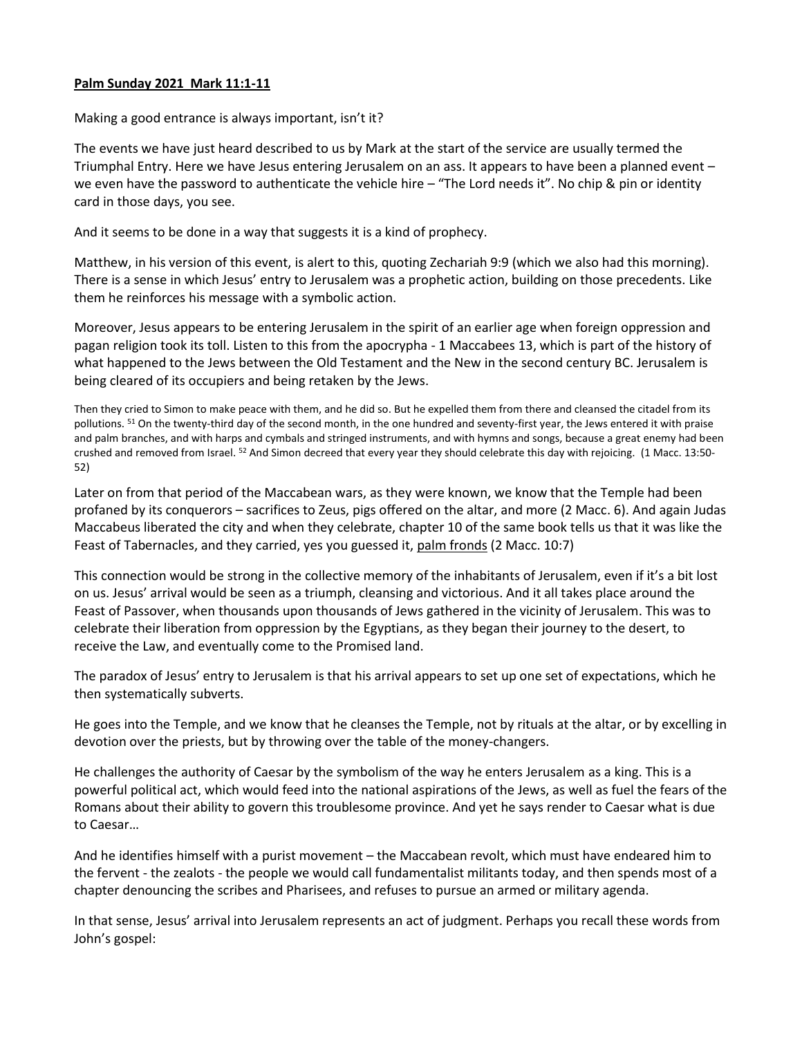## **Palm Sunday 2021 Mark 11:1-11**

Making a good entrance is always important, isn't it?

The events we have just heard described to us by Mark at the start of the service are usually termed the Triumphal Entry. Here we have Jesus entering Jerusalem on an ass. It appears to have been a planned event – we even have the password to authenticate the vehicle hire – "The Lord needs it". No chip & pin or identity card in those days, you see.

And it seems to be done in a way that suggests it is a kind of prophecy.

Matthew, in his version of this event, is alert to this, quoting Zechariah 9:9 (which we also had this morning). There is a sense in which Jesus' entry to Jerusalem was a prophetic action, building on those precedents. Like them he reinforces his message with a symbolic action.

Moreover, Jesus appears to be entering Jerusalem in the spirit of an earlier age when foreign oppression and pagan religion took its toll. Listen to this from the apocrypha - 1 Maccabees 13, which is part of the history of what happened to the Jews between the Old Testament and the New in the second century BC. Jerusalem is being cleared of its occupiers and being retaken by the Jews.

Then they cried to Simon to make peace with them, and he did so. But he expelled them from there and cleansed the citadel from its pollutions. <sup>51</sup> On the twenty-third day of the second month, in the one hundred and seventy-first year, the Jews entered it with praise and palm branches, and with harps and cymbals and stringed instruments, and with hymns and songs, because a great enemy had been crushed and removed from Israel. <sup>52</sup> And Simon decreed that every year they should celebrate this day with rejoicing. (1 Macc. 13:50- 52)

Later on from that period of the Maccabean wars, as they were known, we know that the Temple had been profaned by its conquerors – sacrifices to Zeus, pigs offered on the altar, and more (2 Macc. 6). And again Judas Maccabeus liberated the city and when they celebrate, chapter 10 of the same book tells us that it was like the Feast of Tabernacles, and they carried, yes you guessed it, palm fronds (2 Macc. 10:7)

This connection would be strong in the collective memory of the inhabitants of Jerusalem, even if it's a bit lost on us. Jesus' arrival would be seen as a triumph, cleansing and victorious. And it all takes place around the Feast of Passover, when thousands upon thousands of Jews gathered in the vicinity of Jerusalem. This was to celebrate their liberation from oppression by the Egyptians, as they began their journey to the desert, to receive the Law, and eventually come to the Promised land.

The paradox of Jesus' entry to Jerusalem is that his arrival appears to set up one set of expectations, which he then systematically subverts.

He goes into the Temple, and we know that he cleanses the Temple, not by rituals at the altar, or by excelling in devotion over the priests, but by throwing over the table of the money-changers.

He challenges the authority of Caesar by the symbolism of the way he enters Jerusalem as a king. This is a powerful political act, which would feed into the national aspirations of the Jews, as well as fuel the fears of the Romans about their ability to govern this troublesome province. And yet he says render to Caesar what is due to Caesar…

And he identifies himself with a purist movement – the Maccabean revolt, which must have endeared him to the fervent - the zealots - the people we would call fundamentalist militants today, and then spends most of a chapter denouncing the scribes and Pharisees, and refuses to pursue an armed or military agenda.

In that sense, Jesus' arrival into Jerusalem represents an act of judgment. Perhaps you recall these words from John's gospel: